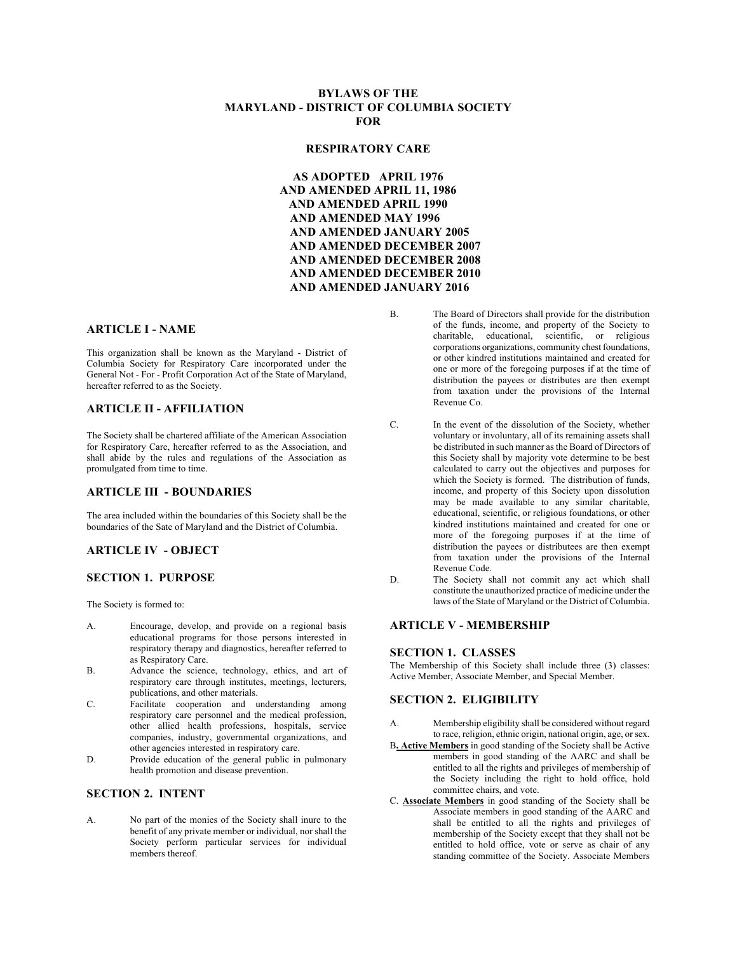### **BYLAWS OF THE MARYLAND - DISTRICT OF COLUMBIA SOCIETY FOR**

#### **RESPIRATORY CARE**

**AS ADOPTED APRIL 1976 AND AMENDED APRIL 11, 1986 AND AMENDED APRIL 1990 AND AMENDED MAY 1996 AND AMENDED JANUARY 2005 AND AMENDED DECEMBER 2007 AND AMENDED DECEMBER 2008 AND AMENDED DECEMBER 2010 AND AMENDED JANUARY 2016**

#### **ARTICLE I - NAME**

This organization shall be known as the Maryland - District of Columbia Society for Respiratory Care incorporated under the General Not - For - Profit Corporation Act of the State of Maryland, hereafter referred to as the Society.

### **ARTICLE II - AFFILIATION**

The Society shall be chartered affiliate of the American Association for Respiratory Care, hereafter referred to as the Association, and shall abide by the rules and regulations of the Association as promulgated from time to time.

#### **ARTICLE III - BOUNDARIES**

The area included within the boundaries of this Society shall be the boundaries of the Sate of Maryland and the District of Columbia.

## **ARTICLE IV - OBJECT**

#### **SECTION 1. PURPOSE**

The Society is formed to:

- A. Encourage, develop, and provide on a regional basis educational programs for those persons interested in respiratory therapy and diagnostics, hereafter referred to as Respiratory Care.
- B. Advance the science, technology, ethics, and art of respiratory care through institutes, meetings, lecturers, publications, and other materials.
- C. Facilitate cooperation and understanding among respiratory care personnel and the medical profession, other allied health professions, hospitals, service companies, industry, governmental organizations, and other agencies interested in respiratory care.
- D. Provide education of the general public in pulmonary health promotion and disease prevention.

### **SECTION 2. INTENT**

A. No part of the monies of the Society shall inure to the benefit of any private member or individual, nor shall the Society perform particular services for individual members thereof.

- B. The Board of Directors shall provide for the distribution of the funds, income, and property of the Society to charitable, educational, scientific, or religious corporations organizations, community chest foundations, or other kindred institutions maintained and created for one or more of the foregoing purposes if at the time of distribution the payees or distributes are then exempt from taxation under the provisions of the Internal Revenue Co.
- C. In the event of the dissolution of the Society, whether voluntary or involuntary, all of its remaining assets shall be distributed in such manner as the Board of Directors of this Society shall by majority vote determine to be best calculated to carry out the objectives and purposes for which the Society is formed. The distribution of funds, income, and property of this Society upon dissolution may be made available to any similar charitable, educational, scientific, or religious foundations, or other kindred institutions maintained and created for one or more of the foregoing purposes if at the time of distribution the payees or distributees are then exempt from taxation under the provisions of the Internal Revenue Code.
- D. The Society shall not commit any act which shall constitute the unauthorized practice of medicine under the laws of the State of Maryland or the District of Columbia.

#### **ARTICLE V - MEMBERSHIP**

#### **SECTION 1. CLASSES**

The Membership of this Society shall include three (3) classes: Active Member, Associate Member, and Special Member.

#### **SECTION 2. ELIGIBILITY**

- A. Membership eligibility shall be considered without regard to race, religion, ethnic origin, national origin, age, or sex.
- B**. Active Members** in good standing of the Society shall be Active members in good standing of the AARC and shall be entitled to all the rights and privileges of membership of the Society including the right to hold office, hold committee chairs, and vote.
- C. **Associate Members** in good standing of the Society shall be Associate members in good standing of the AARC and shall be entitled to all the rights and privileges of membership of the Society except that they shall not be entitled to hold office, vote or serve as chair of any standing committee of the Society. Associate Members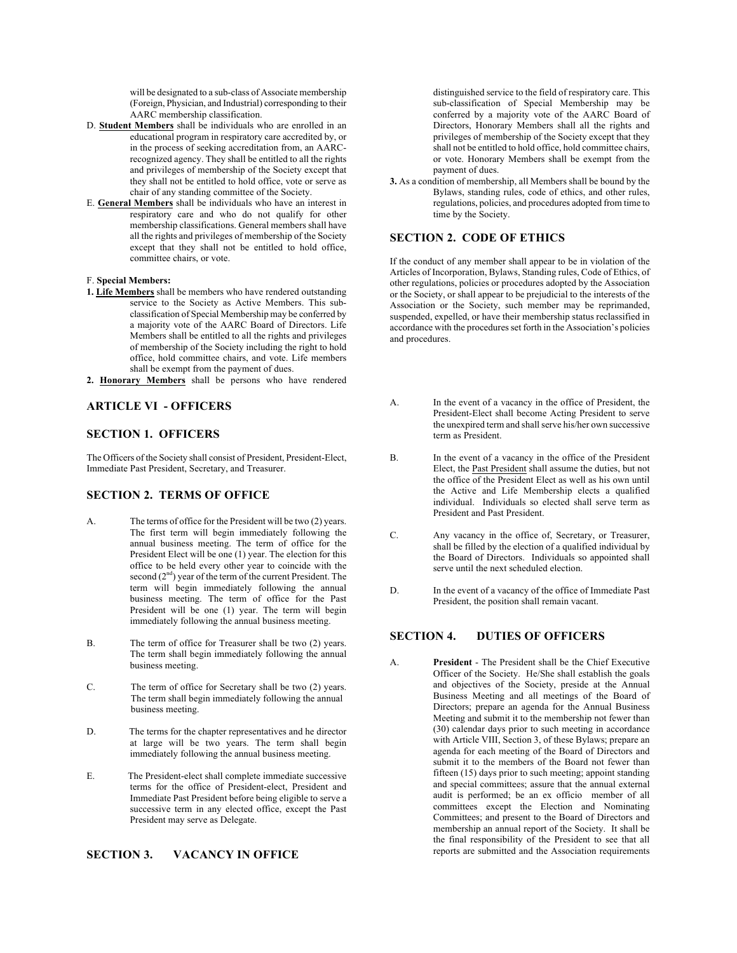will be designated to a sub-class of Associate membership (Foreign, Physician, and Industrial) corresponding to their AARC membership classification.

- D. **Student Members** shall be individuals who are enrolled in an educational program in respiratory care accredited by, or in the process of seeking accreditation from, an AARCrecognized agency. They shall be entitled to all the rights and privileges of membership of the Society except that they shall not be entitled to hold office, vote or serve as chair of any standing committee of the Society.
- E. **General Members** shall be individuals who have an interest in respiratory care and who do not qualify for other membership classifications. General members shall have all the rights and privileges of membership of the Society except that they shall not be entitled to hold office, committee chairs, or vote.

#### F. **Special Members:**

- **1. Life Members** shall be members who have rendered outstanding service to the Society as Active Members. This subclassification of Special Membership may be conferred by a majority vote of the AARC Board of Directors. Life Members shall be entitled to all the rights and privileges of membership of the Society including the right to hold office, hold committee chairs, and vote. Life members shall be exempt from the payment of dues.
- **2. Honorary Members** shall be persons who have rendered

#### **ARTICLE VI - OFFICERS**

### **SECTION 1. OFFICERS**

The Officers of the Society shall consist of President, President-Elect, Immediate Past President, Secretary, and Treasurer.

### **SECTION 2. TERMS OF OFFICE**

- A. The terms of office for the President will be two (2) years. The first term will begin immediately following the annual business meeting. The term of office for the President Elect will be one (1) year. The election for this office to be held every other year to coincide with the second (2<sup>nd</sup>) year of the term of the current President. The term will begin immediately following the annual business meeting. The term of office for the Past President will be one (1) year. The term will begin immediately following the annual business meeting.
- B. The term of office for Treasurer shall be two (2) years. The term shall begin immediately following the annual business meeting.
- C. The term of office for Secretary shall be two (2) years. The term shall begin immediately following the annual business meeting.
- D. The terms for the chapter representatives and he director at large will be two years. The term shall begin immediately following the annual business meeting.
- E. The President-elect shall complete immediate successive terms for the office of President-elect, President and Immediate Past President before being eligible to serve a successive term in any elected office, except the Past President may serve as Delegate.

### **SECTION 3. VACANCY IN OFFICE**

distinguished service to the field of respiratory care. This sub-classification of Special Membership may be conferred by a majority vote of the AARC Board of Directors, Honorary Members shall all the rights and privileges of membership of the Society except that they shall not be entitled to hold office, hold committee chairs, or vote. Honorary Members shall be exempt from the payment of dues.

**3.** As a condition of membership, all Members shall be bound by the Bylaws, standing rules, code of ethics, and other rules, regulations, policies, and procedures adopted from time to time by the Society.

## **SECTION 2. CODE OF ETHICS**

If the conduct of any member shall appear to be in violation of the Articles of Incorporation, Bylaws, Standing rules, Code of Ethics, of other regulations, policies or procedures adopted by the Association or the Society, or shall appear to be prejudicial to the interests of the Association or the Society, such member may be reprimanded, suspended, expelled, or have their membership status reclassified in accordance with the procedures set forth in the Association's policies and procedures.

- A. In the event of a vacancy in the office of President, the President-Elect shall become Acting President to serve the unexpired term and shall serve his/her own successive term as President.
- B. In the event of a vacancy in the office of the President Elect, the Past President shall assume the duties, but not the office of the President Elect as well as his own until the Active and Life Membership elects a qualified individual. Individuals so elected shall serve term as President and Past President.
- C. Any vacancy in the office of, Secretary, or Treasurer, shall be filled by the election of a qualified individual by the Board of Directors. Individuals so appointed shall serve until the next scheduled election.
- D. In the event of a vacancy of the office of Immediate Past President, the position shall remain vacant.

## **SECTION 4. DUTIES OF OFFICERS**

A. **President** - The President shall be the Chief Executive Officer of the Society. He/She shall establish the goals and objectives of the Society, preside at the Annual Business Meeting and all meetings of the Board of Directors; prepare an agenda for the Annual Business Meeting and submit it to the membership not fewer than (30) calendar days prior to such meeting in accordance with Article VIII, Section 3, of these Bylaws; prepare an agenda for each meeting of the Board of Directors and submit it to the members of the Board not fewer than fifteen (15) days prior to such meeting; appoint standing and special committees; assure that the annual external audit is performed; be an ex officio member of all committees except the Election and Nominating Committees; and present to the Board of Directors and membership an annual report of the Society. It shall be the final responsibility of the President to see that all reports are submitted and the Association requirements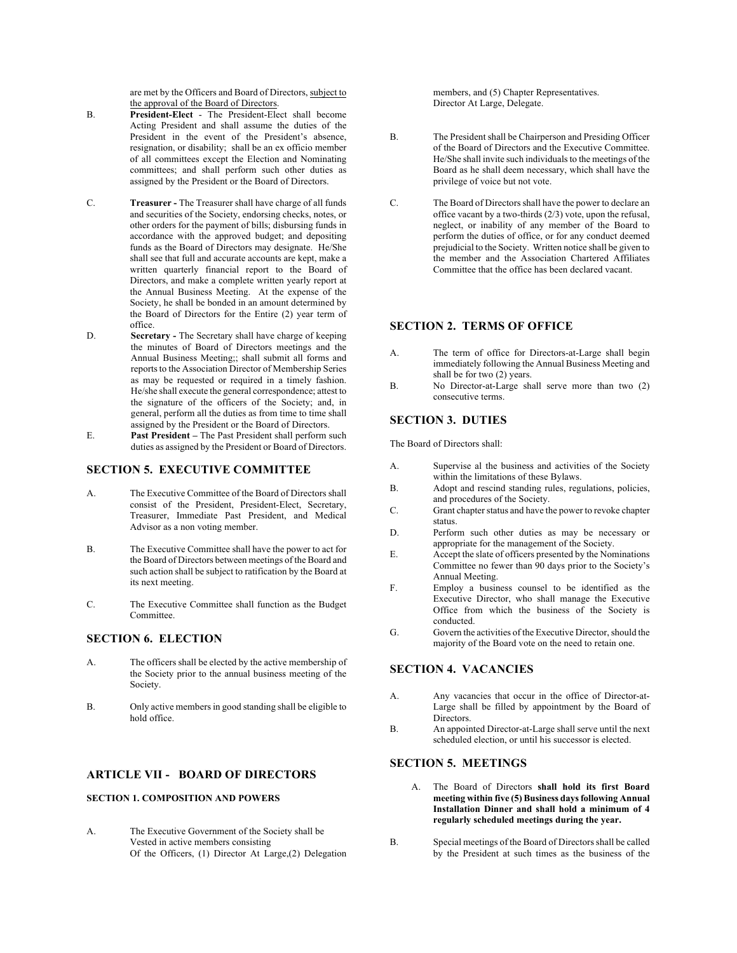are met by the Officers and Board of Directors, subject to the approval of the Board of Directors.

- B. **President-Elect** The President-Elect shall become Acting President and shall assume the duties of the President in the event of the President's absence, resignation, or disability; shall be an ex officio member of all committees except the Election and Nominating committees; and shall perform such other duties as assigned by the President or the Board of Directors.
- C. **Treasurer -** The Treasurer shall have charge of all funds and securities of the Society, endorsing checks, notes, or other orders for the payment of bills; disbursing funds in accordance with the approved budget; and depositing funds as the Board of Directors may designate. He/She shall see that full and accurate accounts are kept, make a written quarterly financial report to the Board of Directors, and make a complete written yearly report at the Annual Business Meeting. At the expense of the Society, he shall be bonded in an amount determined by the Board of Directors for the Entire (2) year term of office.
- D. **Secretary -** The Secretary shall have charge of keeping the minutes of Board of Directors meetings and the Annual Business Meeting;; shall submit all forms and reports to the Association Director of Membership Series as may be requested or required in a timely fashion. He/she shall execute the general correspondence; attest to the signature of the officers of the Society; and, in general, perform all the duties as from time to time shall assigned by the President or the Board of Directors.
- E. **Past President –** The Past President shall perform such duties as assigned by the President or Board of Directors.

#### **SECTION 5. EXECUTIVE COMMITTEE**

- A. The Executive Committee of the Board of Directors shall consist of the President, President-Elect, Secretary, Treasurer, Immediate Past President, and Medical Advisor as a non voting member.
- B. The Executive Committee shall have the power to act for the Board of Directors between meetings of the Board and such action shall be subject to ratification by the Board at its next meeting.
- C. The Executive Committee shall function as the Budget Committee.

#### **SECTION 6. ELECTION**

- A. The officers shall be elected by the active membership of the Society prior to the annual business meeting of the Society.
- B. Only active members in good standing shall be eligible to hold office.

## **ARTICLE VII - BOARD OF DIRECTORS**

#### **SECTION 1. COMPOSITION AND POWERS**

A. The Executive Government of the Society shall be Vested in active members consisting Of the Officers, (1) Director At Large,(2) Delegation members, and (5) Chapter Representatives. Director At Large, Delegate.

- B. The President shall be Chairperson and Presiding Officer of the Board of Directors and the Executive Committee. He/She shall invite such individuals to the meetings of the Board as he shall deem necessary, which shall have the privilege of voice but not vote.
- C. The Board of Directors shall have the power to declare an office vacant by a two-thirds  $(2/3)$  vote, upon the refusal. neglect, or inability of any member of the Board to perform the duties of office, or for any conduct deemed prejudicial to the Society. Written notice shall be given to the member and the Association Chartered Affiliates Committee that the office has been declared vacant.

#### **SECTION 2. TERMS OF OFFICE**

- A. The term of office for Directors-at-Large shall begin immediately following the Annual Business Meeting and shall be for two (2) years.
- B. No Director-at-Large shall serve more than two (2) consecutive terms.

### **SECTION 3. DUTIES**

The Board of Directors shall:

- A. Supervise al the business and activities of the Society within the limitations of these Bylaws.
- B. Adopt and rescind standing rules, regulations, policies, and procedures of the Society.
- C. Grant chapter status and have the power to revoke chapter status.
- D. Perform such other duties as may be necessary or appropriate for the management of the Society.
- E. Accept the slate of officers presented by the Nominations Committee no fewer than 90 days prior to the Society's Annual Meeting.
- F. Employ a business counsel to be identified as the Executive Director, who shall manage the Executive Office from which the business of the Society is conducted.
- G. Govern the activities of the Executive Director, should the majority of the Board vote on the need to retain one.

## **SECTION 4. VACANCIES**

- A. Any vacancies that occur in the office of Director-at-Large shall be filled by appointment by the Board of Directors.
- B. An appointed Director-at-Large shall serve until the next scheduled election, or until his successor is elected.

### **SECTION 5. MEETINGS**

- The Board of Directors shall hold its first Board **meeting within five (5) Business days following Annual Installation Dinner and shall hold a minimum of 4 regularly scheduled meetings during the year.**
- B. Special meetings of the Board of Directors shall be called by the President at such times as the business of the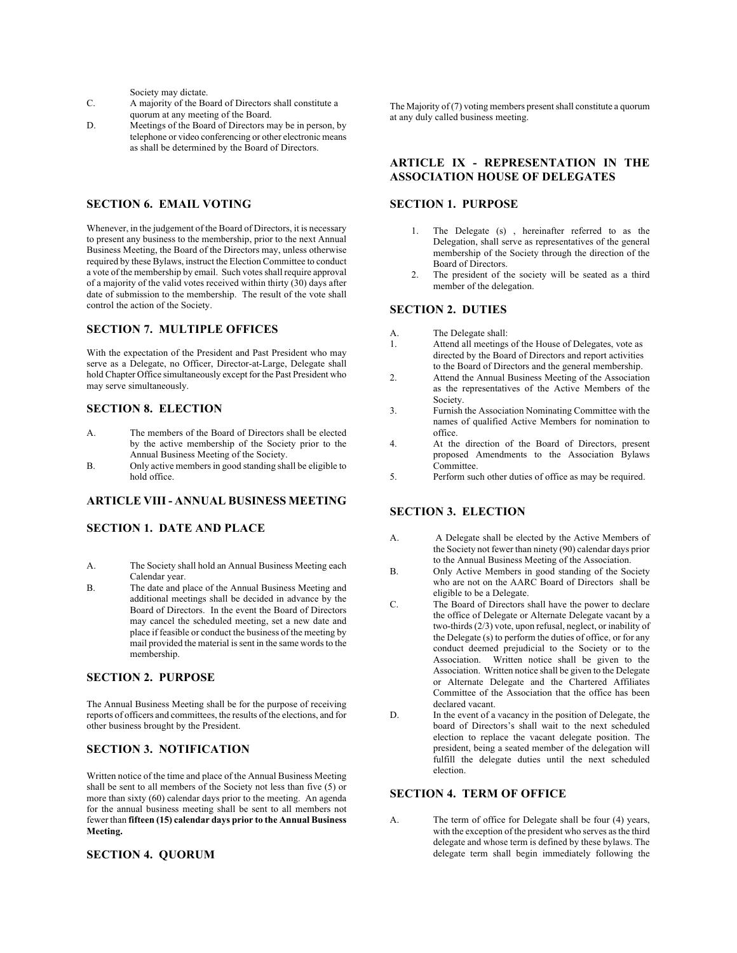Society may dictate.

- C. A majority of the Board of Directors shall constitute a quorum at any meeting of the Board.
- D. Meetings of the Board of Directors may be in person, by telephone or video conferencing or other electronic means as shall be determined by the Board of Directors.

### **SECTION 6. EMAIL VOTING**

Whenever, in the judgement of the Board of Directors, it is necessary to present any business to the membership, prior to the next Annual Business Meeting, the Board of the Directors may, unless otherwise required by these Bylaws, instruct the Election Committee to conduct a vote of the membership by email. Such votes shall require approval of a majority of the valid votes received within thirty (30) days after date of submission to the membership. The result of the vote shall control the action of the Society.

### **SECTION 7. MULTIPLE OFFICES**

With the expectation of the President and Past President who may serve as a Delegate, no Officer, Director-at-Large, Delegate shall hold Chapter Office simultaneously except for the Past President who may serve simultaneously.

#### **SECTION 8. ELECTION**

- A. The members of the Board of Directors shall be elected by the active membership of the Society prior to the Annual Business Meeting of the Society.
- B. Only active members in good standing shall be eligible to hold office.

#### **ARTICLE VIII - ANNUAL BUSINESS MEETING**

#### **SECTION 1. DATE AND PLACE**

- A. The Society shall hold an Annual Business Meeting each Calendar year.
- B. The date and place of the Annual Business Meeting and additional meetings shall be decided in advance by the Board of Directors. In the event the Board of Directors may cancel the scheduled meeting, set a new date and place if feasible or conduct the business of the meeting by mail provided the material is sent in the same words to the membership.

#### **SECTION 2. PURPOSE**

The Annual Business Meeting shall be for the purpose of receiving reports of officers and committees, the results of the elections, and for other business brought by the President.

### **SECTION 3. NOTIFICATION**

Written notice of the time and place of the Annual Business Meeting shall be sent to all members of the Society not less than five (5) or more than sixty (60) calendar days prior to the meeting. An agenda for the annual business meeting shall be sent to all members not fewer than **fifteen (15) calendar days prior to the Annual Business Meeting.**

#### **SECTION 4. QUORUM**

The Majority of (7) voting members present shall constitute a quorum at any duly called business meeting.

#### **ARTICLE IX - REPRESENTATION IN THE ASSOCIATION HOUSE OF DELEGATES**

### **SECTION 1. PURPOSE**

- 1. The Delegate (s) , hereinafter referred to as the Delegation, shall serve as representatives of the general membership of the Society through the direction of the Board of Directors.
- 2. The president of the society will be seated as a third member of the delegation.

### **SECTION 2. DUTIES**

- A. The Delegate shall:
- 1. Attend all meetings of the House of Delegates, vote as directed by the Board of Directors and report activities to the Board of Directors and the general membership.
- 2. Attend the Annual Business Meeting of the Association as the representatives of the Active Members of the Society.
- 3. Furnish the Association Nominating Committee with the names of qualified Active Members for nomination to office.
- 4. At the direction of the Board of Directors, present proposed Amendments to the Association Bylaws Committee.
- 5. Perform such other duties of office as may be required.

### **SECTION 3. ELECTION**

- A. A Delegate shall be elected by the Active Members of the Society not fewer than ninety (90) calendar days prior to the Annual Business Meeting of the Association.
- B. Only Active Members in good standing of the Society who are not on the AARC Board of Directors shall be eligible to be a Delegate.
- C. The Board of Directors shall have the power to declare the office of Delegate or Alternate Delegate vacant by a two-thirds (2/3) vote, upon refusal, neglect, or inability of the Delegate (s) to perform the duties of office, or for any conduct deemed prejudicial to the Society or to the Association. Written notice shall be given to the Association. Written notice shall be given to the Delegate or Alternate Delegate and the Chartered Affiliates Committee of the Association that the office has been declared vacant.
- D. In the event of a vacancy in the position of Delegate, the board of Directors's shall wait to the next scheduled election to replace the vacant delegate position. The president, being a seated member of the delegation will fulfill the delegate duties until the next scheduled election.

## **SECTION 4. TERM OF OFFICE**

A. The term of office for Delegate shall be four (4) years, with the exception of the president who serves as the third delegate and whose term is defined by these bylaws. The delegate term shall begin immediately following the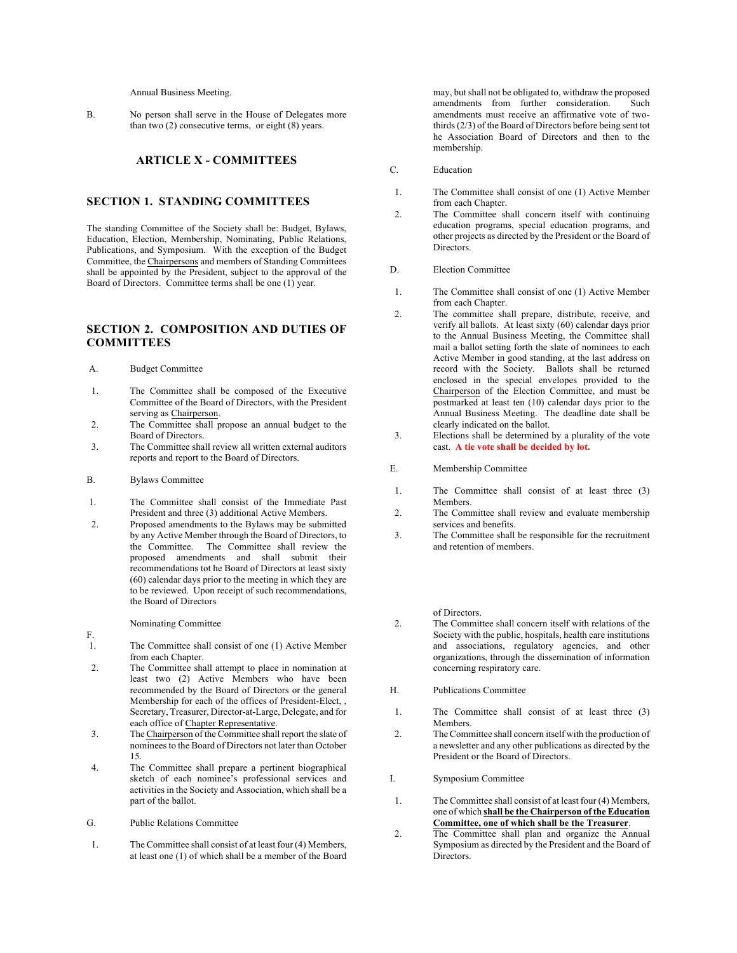Annual Business Meeting.

B. No person shall serve in the House of Delegates more than two (2) consecutive terms, or eight (8) years.

#### **ARTICLE X - COMMITTEES**

#### **SECTION 1. STANDING COMMITTEES**

The standing Committee of the Society shall be: Budget, Bylaws, Education, Election, Membership, Nominating, Public Relations, Publications, and Symposium. With the exception of the Budget Committee, the Chairpersons and members of Standing Committees shall be appointed by the President, subject to the approval of the Board of Directors. Committee terms shall be one (1) year.

### **SECTION 2. COMPOSITION AND DUTIES OF COMMITTEES**

A. Budget Committee

- 1. The Committee shall be composed of the Executive Committee of the Board of Directors, with the President serving as Chairperson.
- 2. The Committee shall propose an annual budget to the Board of Directors.
- 3. The Committee shall review all written external auditors reports and report to the Board of Directors.

#### B. Bylaws Committee

- 1. The Committee shall consist of the Immediate Past President and three (3) additional Active Members.
- 2. Proposed amendments to the Bylaws may be submitted by any Active Member through the Board of Directors, to the Committee. The Committee shall review the proposed amendments and shall submit their recommendations tot he Board of Directors at least sixty (60) calendar days prior to the meeting in which they are to be reviewed. Upon receipt of such recommendations, the Board of Directors

#### Nominating Committee

- F.
- 1. The Committee shall consist of one (1) Active Member from each Chapter.
- 2. The Committee shall attempt to place in nomination at least two (2) Active Members who have been recommended by the Board of Directors or the general Membership for each of the offices of President-Elect, , Secretary, Treasurer, Director-at-Large, Delegate, and for each office of Chapter Representative.
- 3. The Chairperson of the Committee shall report the slate of nominees to the Board of Directors not later than October 15.
- 4. The Committee shall prepare a pertinent biographical sketch of each nominee's professional services and activities in the Society and Association, which shall be a part of the ballot.
- G. Public Relations Committee
- 1. The Committee shall consist of at least four (4) Members, at least one (1) of which shall be a member of the Board

may, but shall not be obligated to, withdraw the proposed amendments from further consideration. Such amendments must receive an affirmative vote of twothirds (2/3) of the Board of Directors before being sent tot he Association Board of Directors and then to the membership.

- C. Education
- 1. The Committee shall consist of one (1) Active Member from each Chapter.
- 2. The Committee shall concern itself with continuing education programs, special education programs, and other projects as directed by the President or the Board of Directors.
- D. Election Committee
- 1. The Committee shall consist of one (1) Active Member from each Chapter.
- 2. The committee shall prepare, distribute, receive, and verify all ballots. At least sixty (60) calendar days prior to the Annual Business Meeting, the Committee shall mail a ballot setting forth the slate of nominees to each Active Member in good standing, at the last address on record with the Society. Ballots shall be returned enclosed in the special envelopes provided to the Chairperson of the Election Committee, and must be postmarked at least ten (10) calendar days prior to the Annual Business Meeting. The deadline date shall be clearly indicated on the ballot.
- 3. Elections shall be determined by a plurality of the vote cast. **A tie vote shall be decided by lot.**
- E. Membership Committee
- 1. The Committee shall consist of at least three (3) Members.
- 2. The Committee shall review and evaluate membership services and benefits.
- 3. The Committee shall be responsible for the recruitment and retention of members.

of Directors.

- 2. The Committee shall concern itself with relations of the Society with the public, hospitals, health care institutions and associations, regulatory agencies, and other organizations, through the dissemination of information concerning respiratory care.
- H. Publications Committee
- 1. The Committee shall consist of at least three (3) **Members**
- 2. The Committee shall concern itself with the production of a newsletter and any other publications as directed by the President or the Board of Directors.
- I. Symposium Committee
- 1. The Committee shall consist of at least four (4) Members, one of which **shall be the Chairperson of the Education Committee, one of which shall be the Treasurer**.
- 2. The Committee shall plan and organize the Annual Symposium as directed by the President and the Board of Directors.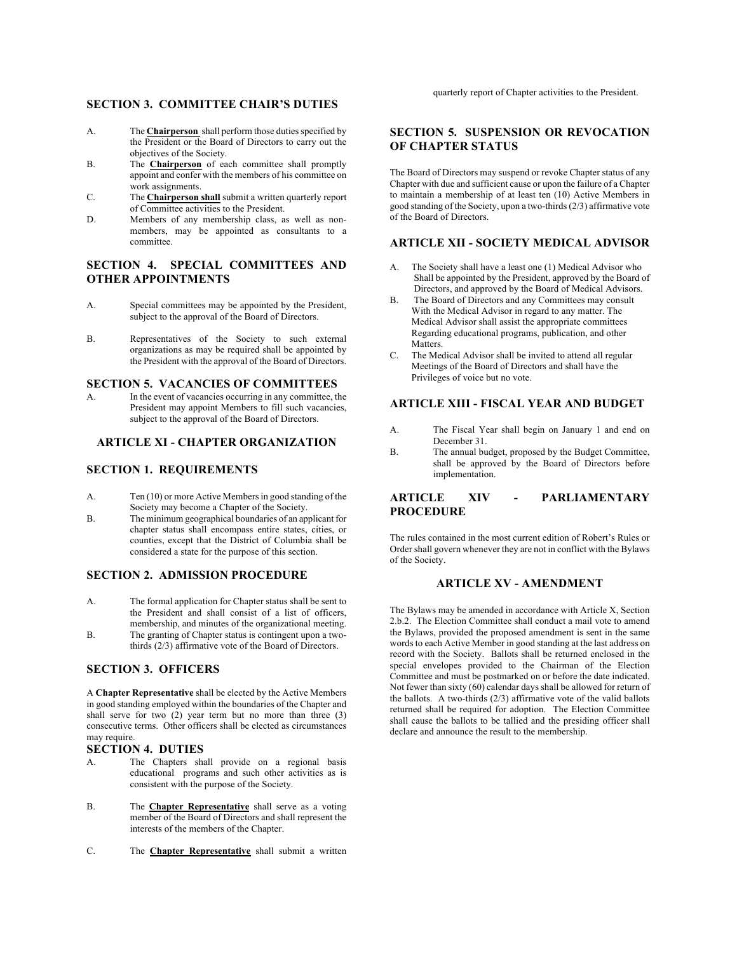#### **SECTION 3. COMMITTEE CHAIR'S DUTIES**

- A. The **Chairperson** shall perform those duties specified by the President or the Board of Directors to carry out the objectives of the Society.
- B. The **Chairperson** of each committee shall promptly appoint and confer with the members of his committee on work assignments.
- C. The **Chairperson shall** submit a written quarterly report of Committee activities to the President.
- D. Members of any membership class, as well as nonmembers, may be appointed as consultants to a committee.

## **SECTION 4. SPECIAL COMMITTEES AND OTHER APPOINTMENTS**

- A. Special committees may be appointed by the President, subject to the approval of the Board of Directors.
- B. Representatives of the Society to such external organizations as may be required shall be appointed by the President with the approval of the Board of Directors.

#### **SECTION 5. VACANCIES OF COMMITTEES**

A. In the event of vacancies occurring in any committee, the President may appoint Members to fill such vacancies, subject to the approval of the Board of Directors.

#### **ARTICLE XI - CHAPTER ORGANIZATION**

#### **SECTION 1. REQUIREMENTS**

- A. Ten (10) or more Active Members in good standing of the Society may become a Chapter of the Society.
- B. The minimum geographical boundaries of an applicant for chapter status shall encompass entire states, cities, or counties, except that the District of Columbia shall be considered a state for the purpose of this section.

### **SECTION 2. ADMISSION PROCEDURE**

- A. The formal application for Chapter status shall be sent to the President and shall consist of a list of officers, membership, and minutes of the organizational meeting.
- B. The granting of Chapter status is contingent upon a twothirds (2/3) affirmative vote of the Board of Directors.

## **SECTION 3. OFFICERS**

A **Chapter Representative** shall be elected by the Active Members in good standing employed within the boundaries of the Chapter and shall serve for two  $(2)$  year term but no more than three  $(3)$ consecutive terms. Other officers shall be elected as circumstances may require.

#### **SECTION 4. DUTIES**

- A. The Chapters shall provide on a regional basis educational programs and such other activities as is consistent with the purpose of the Society.
- B. The **Chapter Representative** shall serve as a voting member of the Board of Directors and shall represent the interests of the members of the Chapter.
- C. The **Chapter Representative** shall submit a written

quarterly report of Chapter activities to the President.

### **SECTION 5. SUSPENSION OR REVOCATION OF CHAPTER STATUS**

The Board of Directors may suspend or revoke Chapter status of any Chapter with due and sufficient cause or upon the failure of a Chapter to maintain a membership of at least ten (10) Active Members in good standing of the Society, upon a two-thirds (2/3) affirmative vote of the Board of Directors.

#### **ARTICLE XII - SOCIETY MEDICAL ADVISOR**

- The Society shall have a least one (1) Medical Advisor who Shall be appointed by the President, approved by the Board of Directors, and approved by the Board of Medical Advisors.
- B. The Board of Directors and any Committees may consult With the Medical Advisor in regard to any matter. The Medical Advisor shall assist the appropriate committees Regarding educational programs, publication, and other **Matters**
- C. The Medical Advisor shall be invited to attend all regular Meetings of the Board of Directors and shall have the Privileges of voice but no vote.

### **ARTICLE XIII - FISCAL YEAR AND BUDGET**

- A. The Fiscal Year shall begin on January 1 and end on December 31.
- B. The annual budget, proposed by the Budget Committee, shall be approved by the Board of Directors before implementation.

### **ARTICLE XIV - PARLIAMENTARY PROCEDURE**

The rules contained in the most current edition of Robert's Rules or Order shall govern whenever they are not in conflict with the Bylaws of the Society.

#### **ARTICLE XV - AMENDMENT**

The Bylaws may be amended in accordance with Article X, Section 2.b.2. The Election Committee shall conduct a mail vote to amend the Bylaws, provided the proposed amendment is sent in the same words to each Active Member in good standing at the last address on record with the Society. Ballots shall be returned enclosed in the special envelopes provided to the Chairman of the Election Committee and must be postmarked on or before the date indicated. Not fewer than sixty  $(60)$  calendar days shall be allowed for return of the ballots. A two-thirds (2/3) affirmative vote of the valid ballots returned shall be required for adoption. The Election Committee shall cause the ballots to be tallied and the presiding officer shall declare and announce the result to the membership.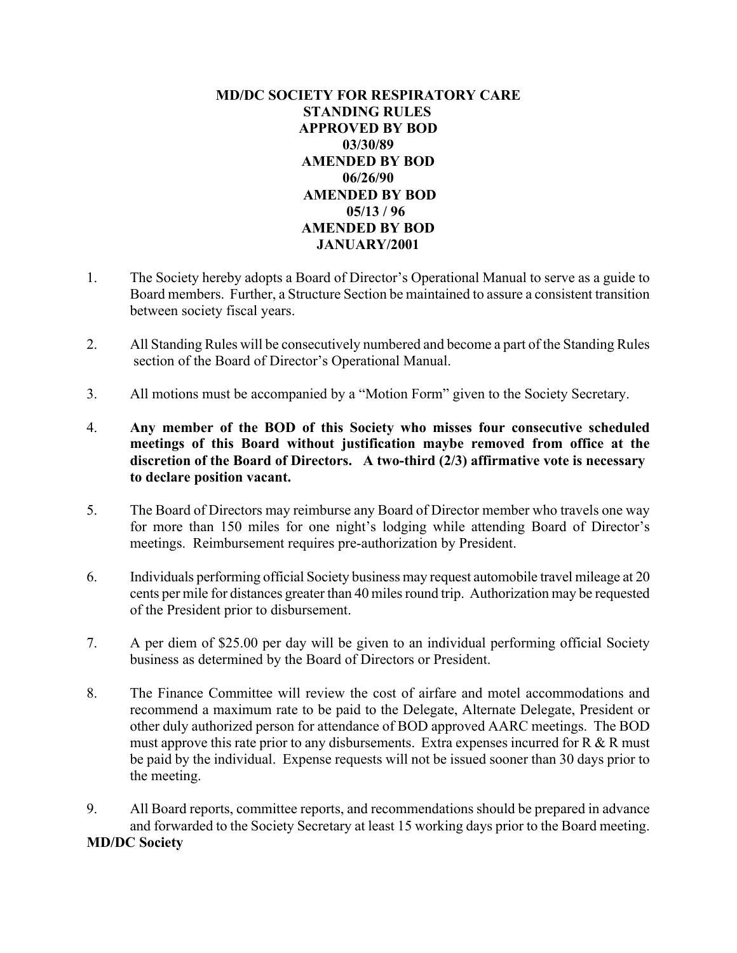# **MD/DC SOCIETY FOR RESPIRATORY CARE STANDING RULES APPROVED BY BOD 03/30/89 AMENDED BY BOD 06/26/90 AMENDED BY BOD 05/13 / 96 AMENDED BY BOD JANUARY/2001**

- 1. The Society hereby adopts a Board of Director's Operational Manual to serve as a guide to Board members. Further, a Structure Section be maintained to assure a consistent transition between society fiscal years.
- 2. All Standing Rules will be consecutively numbered and become a part of the Standing Rules section of the Board of Director's Operational Manual.
- 3. All motions must be accompanied by a "Motion Form" given to the Society Secretary.
- 4. **Any member of the BOD of this Society who misses four consecutive scheduled meetings of this Board without justification maybe removed from office at the discretion of the Board of Directors. A two-third (2/3) affirmative vote is necessary to declare position vacant.**
- 5. The Board of Directors may reimburse any Board of Director member who travels one way for more than 150 miles for one night's lodging while attending Board of Director's meetings. Reimbursement requires pre-authorization by President.
- 6. Individuals performing official Society business may request automobile travel mileage at 20 cents per mile for distances greater than 40 miles round trip. Authorization may be requested of the President prior to disbursement.
- 7. A per diem of \$25.00 per day will be given to an individual performing official Society business as determined by the Board of Directors or President.
- 8. The Finance Committee will review the cost of airfare and motel accommodations and recommend a maximum rate to be paid to the Delegate, Alternate Delegate, President or other duly authorized person for attendance of BOD approved AARC meetings. The BOD must approve this rate prior to any disbursements. Extra expenses incurred for  $R \& R$  must be paid by the individual. Expense requests will not be issued sooner than 30 days prior to the meeting.
- 9. All Board reports, committee reports, and recommendations should be prepared in advance and forwarded to the Society Secretary at least 15 working days prior to the Board meeting. **MD/DC Society**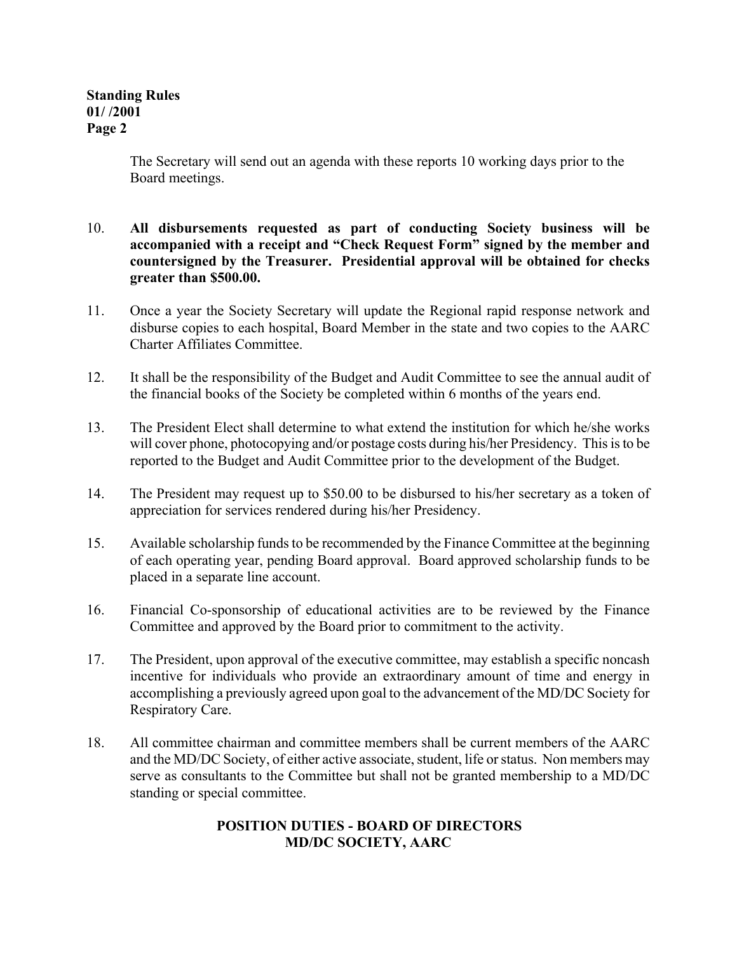The Secretary will send out an agenda with these reports 10 working days prior to the Board meetings.

- 10. **All disbursements requested as part of conducting Society business will be accompanied with a receipt and "Check Request Form" signed by the member and countersigned by the Treasurer. Presidential approval will be obtained for checks greater than \$500.00.**
- 11. Once a year the Society Secretary will update the Regional rapid response network and disburse copies to each hospital, Board Member in the state and two copies to the AARC Charter Affiliates Committee.
- 12. It shall be the responsibility of the Budget and Audit Committee to see the annual audit of the financial books of the Society be completed within 6 months of the years end.
- 13. The President Elect shall determine to what extend the institution for which he/she works will cover phone, photocopying and/or postage costs during his/her Presidency. This is to be reported to the Budget and Audit Committee prior to the development of the Budget.
- 14. The President may request up to \$50.00 to be disbursed to his/her secretary as a token of appreciation for services rendered during his/her Presidency.
- 15. Available scholarship funds to be recommended by the Finance Committee at the beginning of each operating year, pending Board approval. Board approved scholarship funds to be placed in a separate line account.
- 16. Financial Co-sponsorship of educational activities are to be reviewed by the Finance Committee and approved by the Board prior to commitment to the activity.
- 17. The President, upon approval of the executive committee, may establish a specific noncash incentive for individuals who provide an extraordinary amount of time and energy in accomplishing a previously agreed upon goal to the advancement of the MD/DC Society for Respiratory Care.
- 18. All committee chairman and committee members shall be current members of the AARC and the MD/DC Society, of either active associate, student, life or status. Non members may serve as consultants to the Committee but shall not be granted membership to a MD/DC standing or special committee.

# **POSITION DUTIES - BOARD OF DIRECTORS MD/DC SOCIETY, AARC**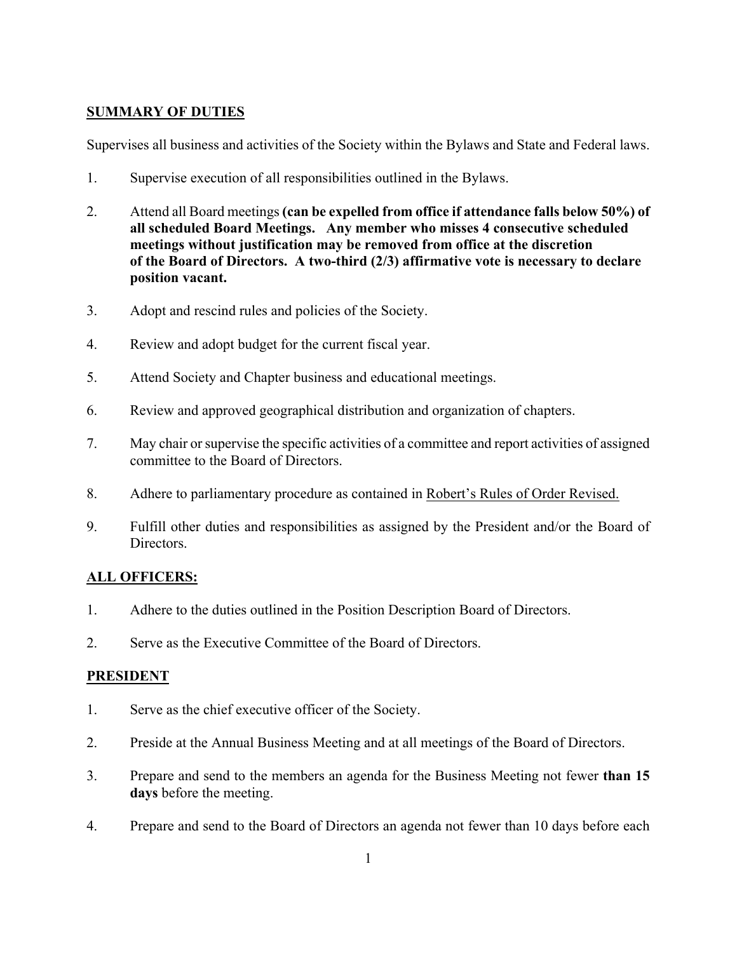# **SUMMARY OF DUTIES**

Supervises all business and activities of the Society within the Bylaws and State and Federal laws.

- 1. Supervise execution of all responsibilities outlined in the Bylaws.
- 2. Attend all Board meetings **(can be expelled from office if attendance falls below 50%) of all scheduled Board Meetings. Any member who misses 4 consecutive scheduled meetings without justification may be removed from office at the discretion of the Board of Directors. A two-third (2/3) affirmative vote is necessary to declare position vacant.**
- 3. Adopt and rescind rules and policies of the Society.
- 4. Review and adopt budget for the current fiscal year.
- 5. Attend Society and Chapter business and educational meetings.
- 6. Review and approved geographical distribution and organization of chapters.
- 7. May chair or supervise the specific activities of a committee and report activities of assigned committee to the Board of Directors.
- 8. Adhere to parliamentary procedure as contained in Robert's Rules of Order Revised.
- 9. Fulfill other duties and responsibilities as assigned by the President and/or the Board of Directors.

# **ALL OFFICERS:**

- 1. Adhere to the duties outlined in the Position Description Board of Directors.
- 2. Serve as the Executive Committee of the Board of Directors.

## **PRESIDENT**

- 1. Serve as the chief executive officer of the Society.
- 2. Preside at the Annual Business Meeting and at all meetings of the Board of Directors.
- 3. Prepare and send to the members an agenda for the Business Meeting not fewer **than 15 days** before the meeting.
- 4. Prepare and send to the Board of Directors an agenda not fewer than 10 days before each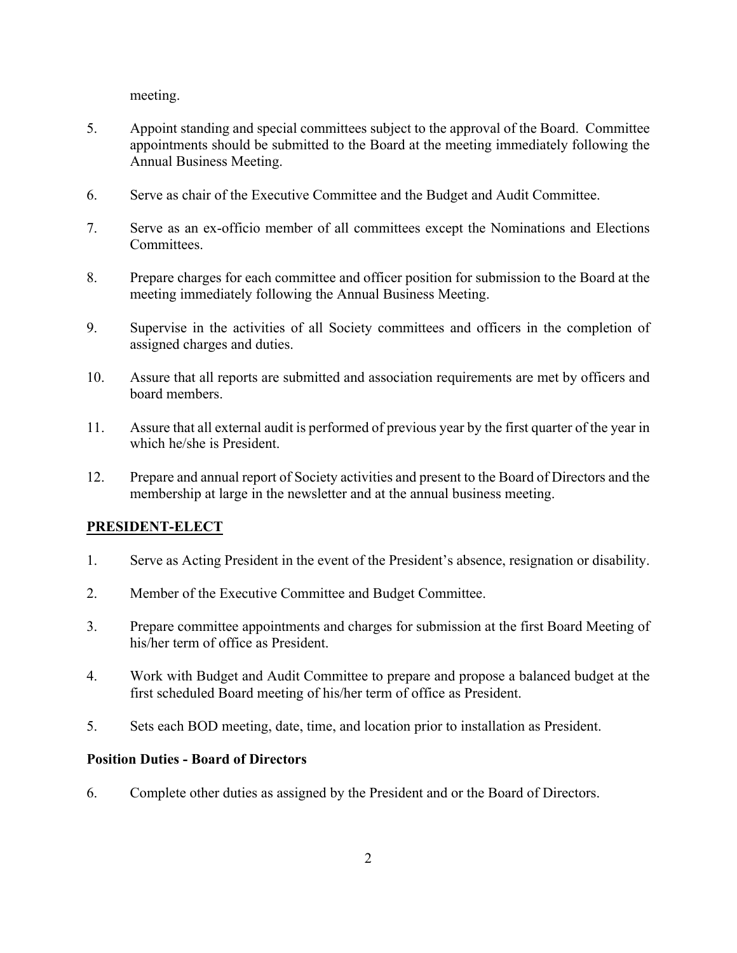meeting.

- 5. Appoint standing and special committees subject to the approval of the Board. Committee appointments should be submitted to the Board at the meeting immediately following the Annual Business Meeting.
- 6. Serve as chair of the Executive Committee and the Budget and Audit Committee.
- 7. Serve as an ex-officio member of all committees except the Nominations and Elections Committees.
- 8. Prepare charges for each committee and officer position for submission to the Board at the meeting immediately following the Annual Business Meeting.
- 9. Supervise in the activities of all Society committees and officers in the completion of assigned charges and duties.
- 10. Assure that all reports are submitted and association requirements are met by officers and board members.
- 11. Assure that all external audit is performed of previous year by the first quarter of the year in which he/she is President.
- 12. Prepare and annual report of Society activities and present to the Board of Directors and the membership at large in the newsletter and at the annual business meeting.

# **PRESIDENT-ELECT**

- 1. Serve as Acting President in the event of the President's absence, resignation or disability.
- 2. Member of the Executive Committee and Budget Committee.
- 3. Prepare committee appointments and charges for submission at the first Board Meeting of his/her term of office as President.
- 4. Work with Budget and Audit Committee to prepare and propose a balanced budget at the first scheduled Board meeting of his/her term of office as President.
- 5. Sets each BOD meeting, date, time, and location prior to installation as President.

## **Position Duties - Board of Directors**

6. Complete other duties as assigned by the President and or the Board of Directors.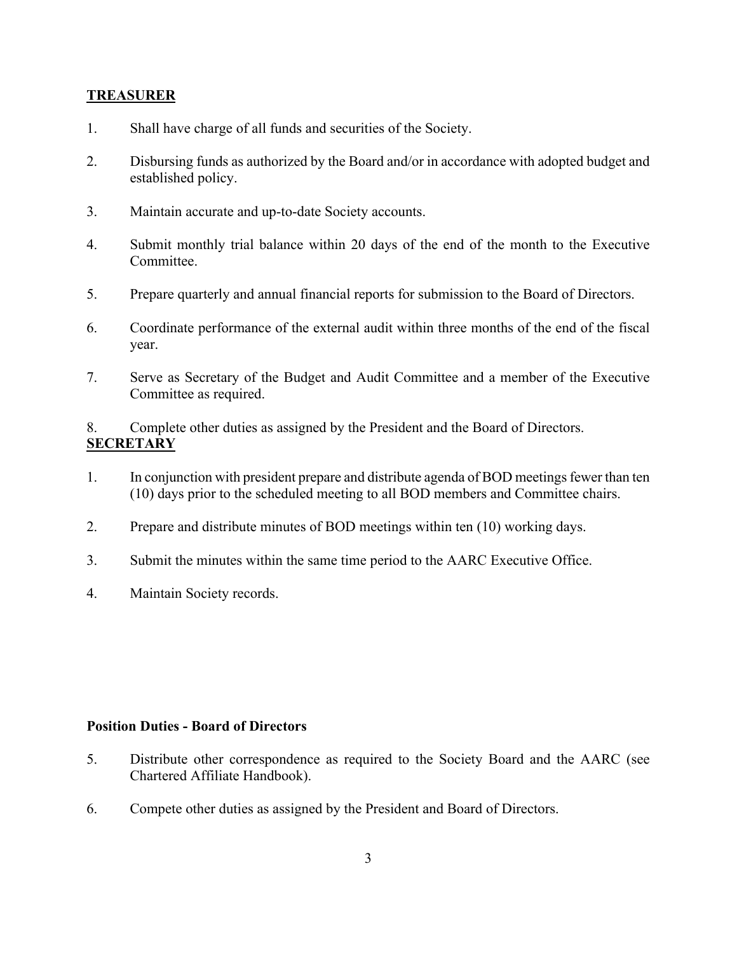## **TREASURER**

- 1. Shall have charge of all funds and securities of the Society.
- 2. Disbursing funds as authorized by the Board and/or in accordance with adopted budget and established policy.
- 3. Maintain accurate and up-to-date Society accounts.
- 4. Submit monthly trial balance within 20 days of the end of the month to the Executive Committee.
- 5. Prepare quarterly and annual financial reports for submission to the Board of Directors.
- 6. Coordinate performance of the external audit within three months of the end of the fiscal year.
- 7. Serve as Secretary of the Budget and Audit Committee and a member of the Executive Committee as required.

8. Complete other duties as assigned by the President and the Board of Directors. **SECRETARY**

- 1. In conjunction with president prepare and distribute agenda of BOD meetings fewer than ten (10) days prior to the scheduled meeting to all BOD members and Committee chairs.
- 2. Prepare and distribute minutes of BOD meetings within ten (10) working days.
- 3. Submit the minutes within the same time period to the AARC Executive Office.
- 4. Maintain Society records.

## **Position Duties - Board of Directors**

- 5. Distribute other correspondence as required to the Society Board and the AARC (see Chartered Affiliate Handbook).
- 6. Compete other duties as assigned by the President and Board of Directors.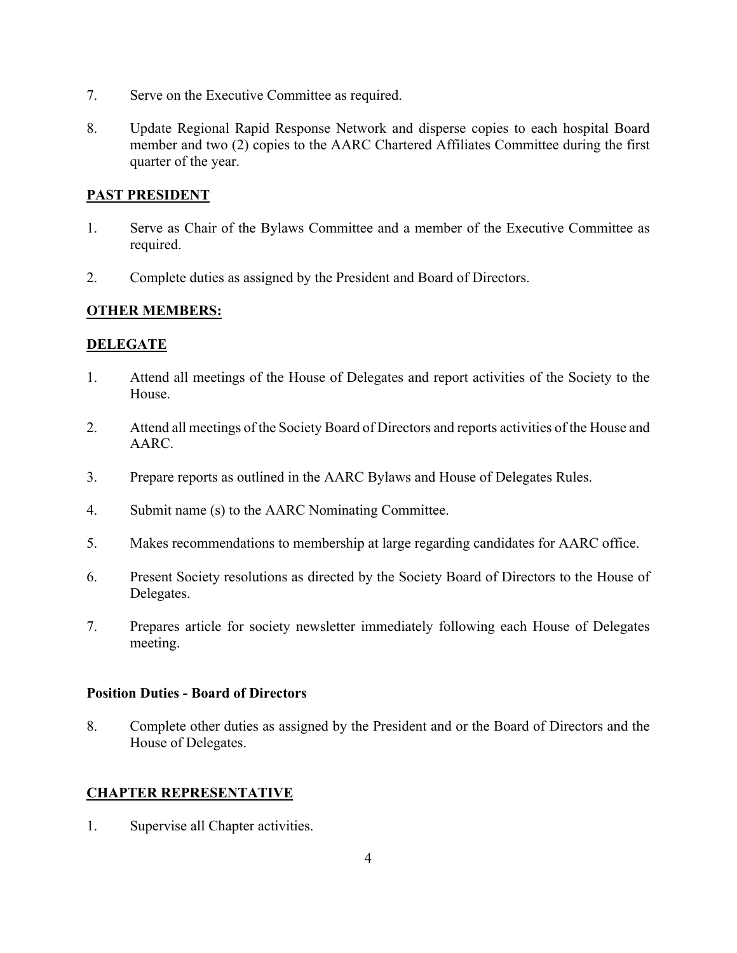- 7. Serve on the Executive Committee as required.
- 8. Update Regional Rapid Response Network and disperse copies to each hospital Board member and two (2) copies to the AARC Chartered Affiliates Committee during the first quarter of the year.

# **PAST PRESIDENT**

- 1. Serve as Chair of the Bylaws Committee and a member of the Executive Committee as required.
- 2. Complete duties as assigned by the President and Board of Directors.

# **OTHER MEMBERS:**

# **DELEGATE**

- 1. Attend all meetings of the House of Delegates and report activities of the Society to the **House**
- 2. Attend all meetings of the Society Board of Directors and reports activities of the House and AARC.
- 3. Prepare reports as outlined in the AARC Bylaws and House of Delegates Rules.
- 4. Submit name (s) to the AARC Nominating Committee.
- 5. Makes recommendations to membership at large regarding candidates for AARC office.
- 6. Present Society resolutions as directed by the Society Board of Directors to the House of Delegates.
- 7. Prepares article for society newsletter immediately following each House of Delegates meeting.

## **Position Duties - Board of Directors**

8. Complete other duties as assigned by the President and or the Board of Directors and the House of Delegates.

# **CHAPTER REPRESENTATIVE**

1. Supervise all Chapter activities.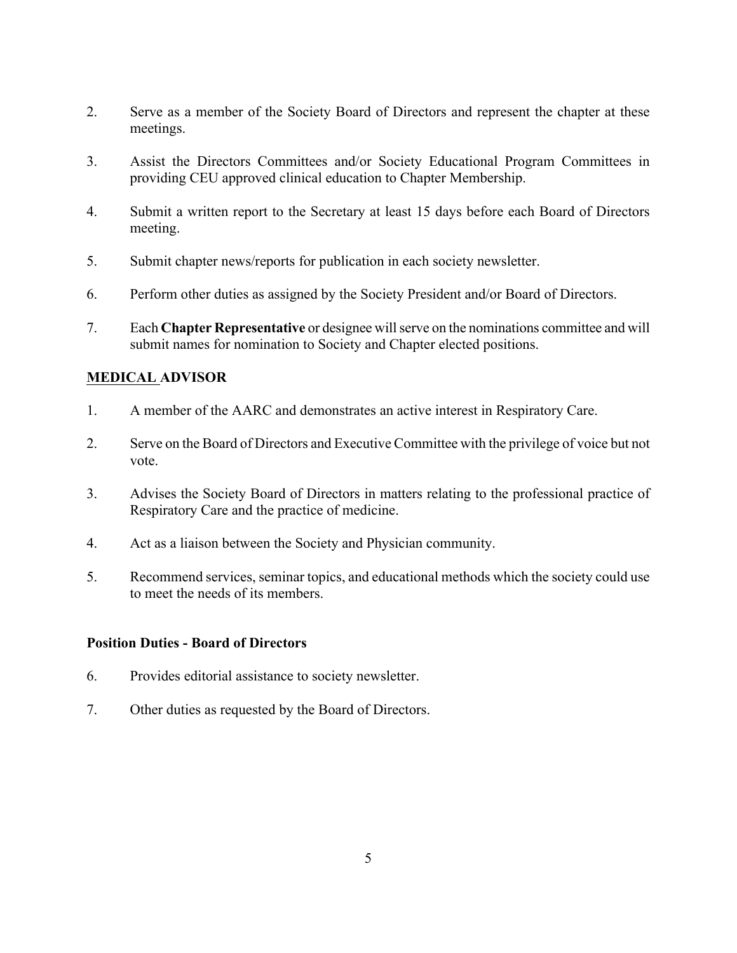- 2. Serve as a member of the Society Board of Directors and represent the chapter at these meetings.
- 3. Assist the Directors Committees and/or Society Educational Program Committees in providing CEU approved clinical education to Chapter Membership.
- 4. Submit a written report to the Secretary at least 15 days before each Board of Directors meeting.
- 5. Submit chapter news/reports for publication in each society newsletter.
- 6. Perform other duties as assigned by the Society President and/or Board of Directors.
- 7. Each **Chapter Representative** or designee will serve on the nominations committee and will submit names for nomination to Society and Chapter elected positions.

# **MEDICAL ADVISOR**

- 1. A member of the AARC and demonstrates an active interest in Respiratory Care.
- 2. Serve on the Board of Directors and Executive Committee with the privilege of voice but not vote.
- 3. Advises the Society Board of Directors in matters relating to the professional practice of Respiratory Care and the practice of medicine.
- 4. Act as a liaison between the Society and Physician community.
- 5. Recommend services, seminar topics, and educational methods which the society could use to meet the needs of its members.

## **Position Duties - Board of Directors**

- 6. Provides editorial assistance to society newsletter.
- 7. Other duties as requested by the Board of Directors.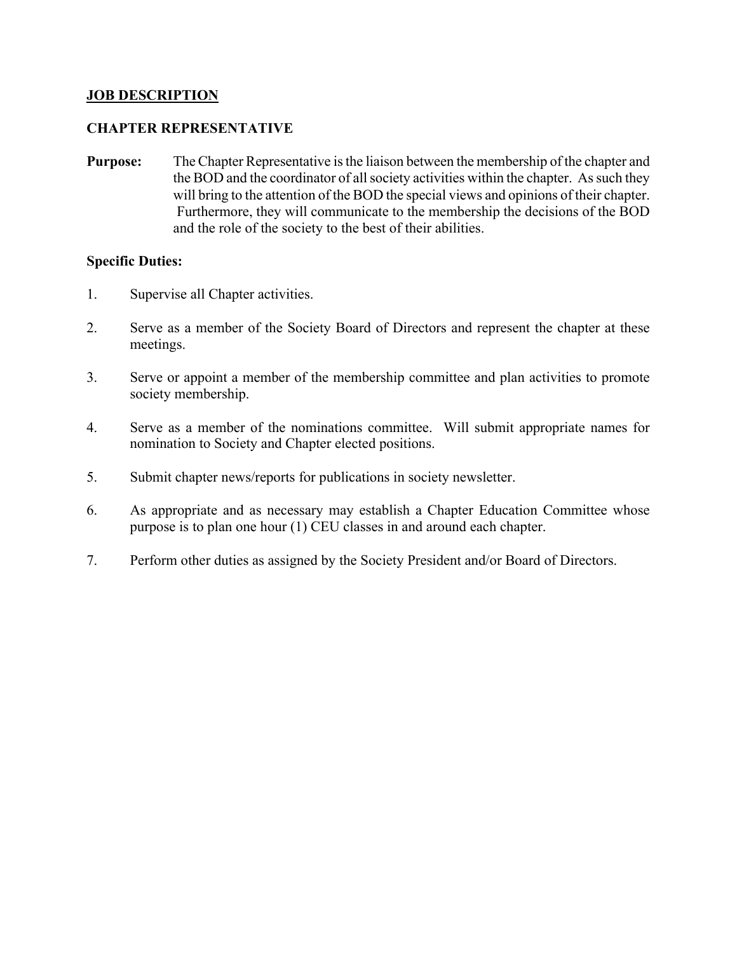## **JOB DESCRIPTION**

## **CHAPTER REPRESENTATIVE**

**Purpose:** The Chapter Representative is the liaison between the membership of the chapter and the BOD and the coordinator of all society activities within the chapter. As such they will bring to the attention of the BOD the special views and opinions of their chapter. Furthermore, they will communicate to the membership the decisions of the BOD and the role of the society to the best of their abilities.

## **Specific Duties:**

- 1. Supervise all Chapter activities.
- 2. Serve as a member of the Society Board of Directors and represent the chapter at these meetings.
- 3. Serve or appoint a member of the membership committee and plan activities to promote society membership.
- 4. Serve as a member of the nominations committee. Will submit appropriate names for nomination to Society and Chapter elected positions.
- 5. Submit chapter news/reports for publications in society newsletter.
- 6. As appropriate and as necessary may establish a Chapter Education Committee whose purpose is to plan one hour (1) CEU classes in and around each chapter.
- 7. Perform other duties as assigned by the Society President and/or Board of Directors.